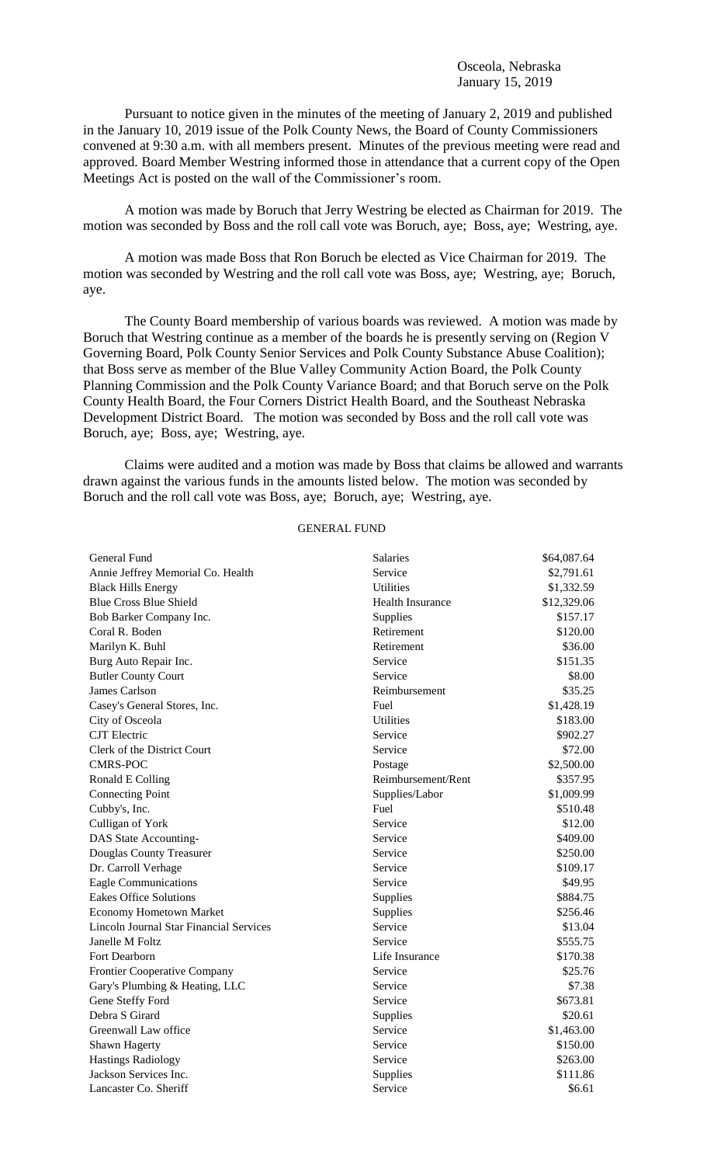Osceola, Nebraska January 15, 2019

Pursuant to notice given in the minutes of the meeting of January 2, 2019 and published in the January 10, 2019 issue of the Polk County News, the Board of County Commissioners convened at 9:30 a.m. with all members present. Minutes of the previous meeting were read and approved. Board Member Westring informed those in attendance that a current copy of the Open Meetings Act is posted on the wall of the Commissioner's room.

A motion was made by Boruch that Jerry Westring be elected as Chairman for 2019. The motion was seconded by Boss and the roll call vote was Boruch, aye; Boss, aye; Westring, aye.

A motion was made Boss that Ron Boruch be elected as Vice Chairman for 2019. The motion was seconded by Westring and the roll call vote was Boss, aye; Westring, aye; Boruch, aye.

The County Board membership of various boards was reviewed. A motion was made by Boruch that Westring continue as a member of the boards he is presently serving on (Region V Governing Board, Polk County Senior Services and Polk County Substance Abuse Coalition); that Boss serve as member of the Blue Valley Community Action Board, the Polk County Planning Commission and the Polk County Variance Board; and that Boruch serve on the Polk County Health Board, the Four Corners District Health Board, and the Southeast Nebraska Development District Board. The motion was seconded by Boss and the roll call vote was Boruch, aye; Boss, aye; Westring, aye.

Claims were audited and a motion was made by Boss that claims be allowed and warrants drawn against the various funds in the amounts listed below. The motion was seconded by Boruch and the roll call vote was Boss, aye; Boruch, aye; Westring, aye.

## GENERAL FUND

| General Fund                            | <b>Salaries</b>         | \$64,087.64 |
|-----------------------------------------|-------------------------|-------------|
| Annie Jeffrey Memorial Co. Health       | Service                 | \$2,791.61  |
| <b>Black Hills Energy</b>               | <b>Utilities</b>        | \$1,332.59  |
| <b>Blue Cross Blue Shield</b>           | <b>Health Insurance</b> | \$12,329.06 |
| Bob Barker Company Inc.                 | Supplies                | \$157.17    |
| Coral R. Boden                          | Retirement              | \$120.00    |
| Marilyn K. Buhl                         | Retirement              | \$36.00     |
| Burg Auto Repair Inc.                   | Service                 | \$151.35    |
| <b>Butler County Court</b>              | Service                 | \$8.00      |
| James Carlson                           | Reimbursement           | \$35.25     |
| Casey's General Stores, Inc.            | Fuel                    | \$1,428.19  |
| City of Osceola                         | <b>Utilities</b>        | \$183.00    |
| <b>CJT</b> Electric                     | Service                 | \$902.27    |
| Clerk of the District Court             | Service                 | \$72.00     |
| <b>CMRS-POC</b>                         | Postage                 | \$2,500.00  |
| Ronald E Colling                        | Reimbursement/Rent      | \$357.95    |
| <b>Connecting Point</b>                 | Supplies/Labor          | \$1,009.99  |
| Cubby's, Inc.                           | Fuel                    | \$510.48    |
| Culligan of York                        | Service                 | \$12.00     |
| DAS State Accounting-                   | Service                 | \$409.00    |
| Douglas County Treasurer                | Service                 | \$250.00    |
| Dr. Carroll Verhage                     | Service                 | \$109.17    |
| <b>Eagle Communications</b>             | Service                 | \$49.95     |
| <b>Eakes Office Solutions</b>           | Supplies                | \$884.75    |
| <b>Economy Hometown Market</b>          | Supplies                | \$256.46    |
| Lincoln Journal Star Financial Services | Service                 | \$13.04     |
| Janelle M Foltz                         | Service                 | \$555.75    |
| Fort Dearborn                           | Life Insurance          | \$170.38    |
| <b>Frontier Cooperative Company</b>     | Service                 | \$25.76     |
| Gary's Plumbing & Heating, LLC          | Service                 | \$7.38      |
| Gene Steffy Ford                        | Service                 | \$673.81    |
| Debra S Girard                          | Supplies                | \$20.61     |
| Greenwall Law office                    | Service                 | \$1,463.00  |
| Shawn Hagerty                           | Service                 | \$150.00    |
| <b>Hastings Radiology</b>               | Service                 | \$263.00    |
| Jackson Services Inc.                   | Supplies                | \$111.86    |
| Lancaster Co. Sheriff                   | Service                 | \$6.61      |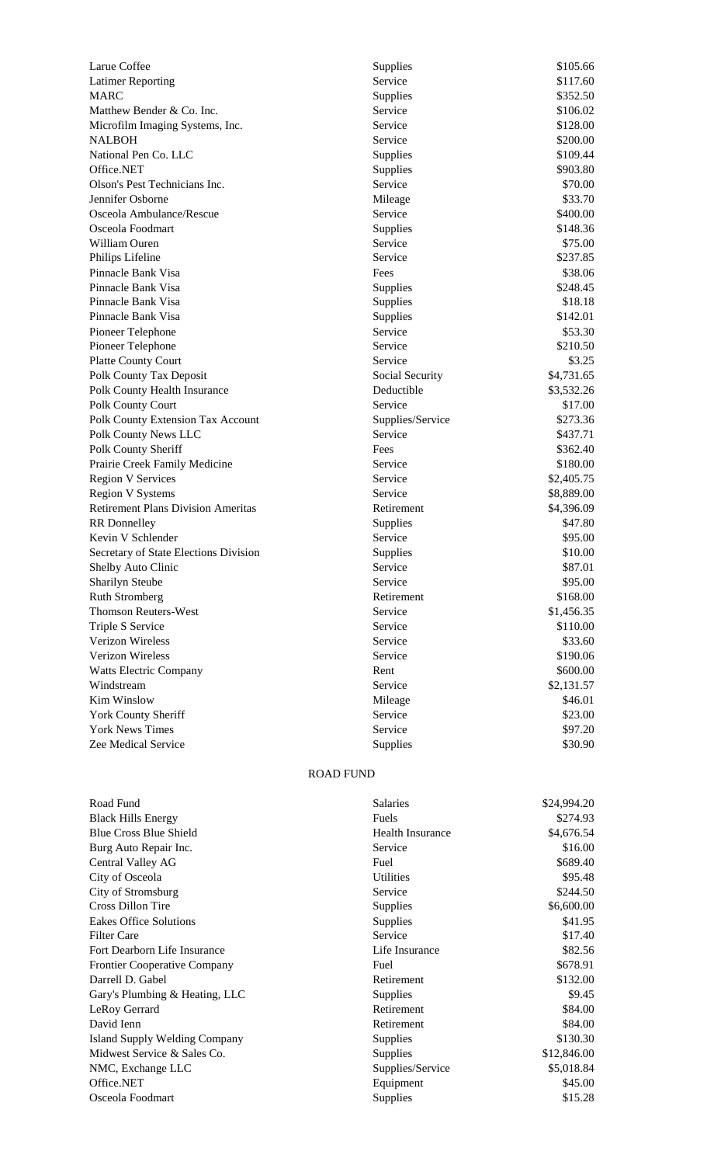| Larue Coffee                              | Supplies         | \$105.66   |
|-------------------------------------------|------------------|------------|
| <b>Latimer Reporting</b>                  | Service          | \$117.60   |
| <b>MARC</b>                               | Supplies         | \$352.50   |
| Matthew Bender & Co. Inc.                 | Service          | \$106.02   |
| Microfilm Imaging Systems, Inc.           | Service          | \$128.00   |
| <b>NALBOH</b>                             | Service          | \$200.00   |
| National Pen Co. LLC                      | Supplies         | \$109.44   |
| Office.NET                                | Supplies         | \$903.80   |
| Olson's Pest Technicians Inc.             | Service          | \$70.00    |
| Jennifer Osborne                          | Mileage          | \$33.70    |
| Osceola Ambulance/Rescue                  | Service          | \$400.00   |
| Osceola Foodmart                          | Supplies         | \$148.36   |
| William Ouren                             | Service          | \$75.00    |
| Philips Lifeline                          | Service          | \$237.85   |
| Pinnacle Bank Visa                        | Fees             | \$38.06    |
| Pinnacle Bank Visa                        | Supplies         | \$248.45   |
| Pinnacle Bank Visa                        | Supplies         | \$18.18    |
| Pinnacle Bank Visa                        | Supplies         | \$142.01   |
| Pioneer Telephone                         | Service          | \$53.30    |
| Pioneer Telephone                         | Service          | \$210.50   |
| Platte County Court                       | Service          | \$3.25     |
| Polk County Tax Deposit                   | Social Security  | \$4,731.65 |
| Polk County Health Insurance              | Deductible       | \$3,532.26 |
| Polk County Court                         | Service          | \$17.00    |
| Polk County Extension Tax Account         | Supplies/Service | \$273.36   |
| Polk County News LLC                      | Service          | \$437.71   |
| Polk County Sheriff                       | Fees             | \$362.40   |
| Prairie Creek Family Medicine             | Service          | \$180.00   |
| <b>Region V Services</b>                  | Service          | \$2,405.75 |
| <b>Region V Systems</b>                   | Service          | \$8,889.00 |
| <b>Retirement Plans Division Ameritas</b> | Retirement       | \$4,396.09 |
| <b>RR</b> Donnelley                       | Supplies         | \$47.80    |
| Kevin V Schlender                         | Service          | \$95.00    |
| Secretary of State Elections Division     | Supplies         | \$10.00    |
| Shelby Auto Clinic                        | Service          | \$87.01    |
| Sharilyn Steube                           | Service          | \$95.00    |
| <b>Ruth Stromberg</b>                     | Retirement       | \$168.00   |
| <b>Thomson Reuters-West</b>               | Service          | \$1,456.35 |
| Triple S Service                          | Service          | \$110.00   |
| Verizon Wireless                          | Service          | \$33.60    |
| Verizon Wireless                          | Service          | \$190.06   |
| <b>Watts Electric Company</b>             | Rent             | \$600.00   |
| Windstream                                | Service          | \$2,131.57 |
| <b>Kim Winslow</b>                        | Mileage          | \$46.01    |
| <b>York County Sheriff</b>                | Service          | \$23.00    |
| <b>York News Times</b>                    | Service          | \$97.20    |
| Zee Medical Service                       | Supplies         | \$30.90    |
|                                           |                  |            |

## ROAD FUND

| Road Fund                           | Salaries                | \$24,994.20 |
|-------------------------------------|-------------------------|-------------|
| <b>Black Hills Energy</b>           | Fuels                   | \$274.93    |
| <b>Blue Cross Blue Shield</b>       | <b>Health Insurance</b> | \$4,676.54  |
| Burg Auto Repair Inc.               | Service                 | \$16.00     |
| Central Valley AG                   | Fuel                    | \$689.40    |
| City of Osceola                     | <b>Utilities</b>        | \$95.48     |
| City of Stromsburg                  | Service                 | \$244.50    |
| Cross Dillon Tire                   | Supplies                | \$6,600.00  |
| <b>Eakes Office Solutions</b>       | Supplies                | \$41.95     |
| <b>Filter Care</b>                  | Service                 | \$17.40     |
| Fort Dearborn Life Insurance        | Life Insurance          | \$82.56     |
| <b>Frontier Cooperative Company</b> | Fuel                    | \$678.91    |
| Darrell D. Gabel                    | Retirement              | \$132.00    |
| Gary's Plumbing & Heating, LLC      | Supplies                | \$9.45      |
| LeRoy Gerrard                       | Retirement              | \$84.00     |
| David Ienn                          | Retirement              | \$84.00     |
| Island Supply Welding Company       | Supplies                | \$130.30    |
| Midwest Service & Sales Co.         | Supplies                | \$12,846.00 |
| NMC, Exchange LLC                   | Supplies/Service        | \$5,018.84  |
| Office.NET                          | Equipment               | \$45.00     |
| Osceola Foodmart                    | Supplies                | \$15.28     |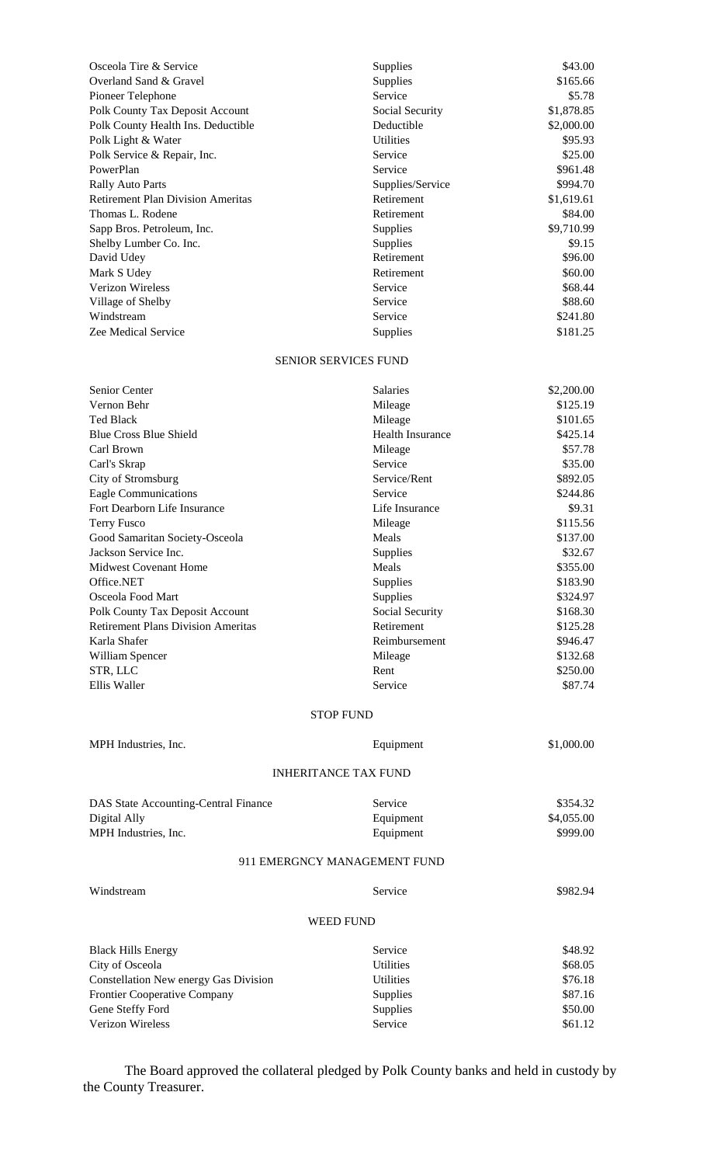| Osceola Tire & Service                   | Supplies         | \$43.00    |
|------------------------------------------|------------------|------------|
| Overland Sand & Gravel                   | <b>Supplies</b>  | \$165.66   |
| Pioneer Telephone                        | Service          | \$5.78     |
| Polk County Tax Deposit Account          | Social Security  | \$1,878.85 |
| Polk County Health Ins. Deductible       | Deductible       | \$2,000.00 |
| Polk Light & Water                       | <b>Utilities</b> | \$95.93    |
| Polk Service & Repair, Inc.              | Service          | \$25.00    |
| PowerPlan                                | Service          | \$961.48   |
| <b>Rally Auto Parts</b>                  | Supplies/Service | \$994.70   |
| <b>Retirement Plan Division Ameritas</b> | Retirement       | \$1,619.61 |
| Thomas L. Rodene                         | Retirement       | \$84.00    |
| Sapp Bros. Petroleum, Inc.               | Supplies         | \$9,710.99 |
| Shelby Lumber Co. Inc.                   | Supplies         | \$9.15     |
| David Udey                               | Retirement       | \$96.00    |
| Mark S Udey                              | Retirement       | \$60.00    |
| Verizon Wireless                         | Service          | \$68.44    |
| Village of Shelby                        | Service          | \$88.60    |
| Windstream                               | Service          | \$241.80   |
| <b>Zee Medical Service</b>               | Supplies         | \$181.25   |
|                                          |                  |            |

## SENIOR SERVICES FUND

| Senior Center                             | <b>Salaries</b>         | \$2,200.00 |
|-------------------------------------------|-------------------------|------------|
| Vernon Behr                               | Mileage                 | \$125.19   |
| Ted Black                                 | Mileage                 | \$101.65   |
| <b>Blue Cross Blue Shield</b>             | <b>Health Insurance</b> | \$425.14   |
| Carl Brown                                | Mileage                 | \$57.78    |
| Carl's Skrap                              | Service                 | \$35.00    |
| City of Stromsburg                        | Service/Rent            | \$892.05   |
| <b>Eagle Communications</b>               | Service                 | \$244.86   |
| Fort Dearborn Life Insurance              | Life Insurance          | \$9.31     |
| <b>Terry Fusco</b>                        | Mileage                 | \$115.56   |
| Good Samaritan Society-Osceola            | Meals                   | \$137.00   |
| Jackson Service Inc.                      | <b>Supplies</b>         | \$32.67    |
| <b>Midwest Covenant Home</b>              | Meals                   | \$355.00   |
| Office.NET                                | <b>Supplies</b>         | \$183.90   |
| Osceola Food Mart                         | <b>Supplies</b>         | \$324.97   |
| Polk County Tax Deposit Account           | Social Security         | \$168.30   |
| <b>Retirement Plans Division Ameritas</b> | Retirement              | \$125.28   |
| Karla Shafer                              | Reimbursement           | \$946.47   |
| William Spencer                           | Mileage                 | \$132.68   |
| STR, LLC                                  | Rent                    | \$250.00   |
| Ellis Waller                              | Service                 | \$87.74    |

## STOP FUND

| MPH Industries, Inc.                  | Equipment                    | \$1,000.00 |
|---------------------------------------|------------------------------|------------|
|                                       | <b>INHERITANCE TAX FUND</b>  |            |
| DAS State Accounting-Central Finance  | Service                      | \$354.32   |
| Digital Ally                          | Equipment                    | \$4,055.00 |
| MPH Industries, Inc.                  | Equipment                    | \$999.00   |
|                                       | 911 EMERGNCY MANAGEMENT FUND |            |
| Windstream                            | Service                      | \$982.94   |
|                                       | <b>WEED FUND</b>             |            |
| <b>Black Hills Energy</b>             | Service                      | \$48.92    |
| City of Osceola                       | <b>Utilities</b>             | \$68.05    |
| Constellation New energy Gas Division | <b>Utilities</b>             | \$76.18    |
| <b>Frontier Cooperative Company</b>   | <b>Supplies</b>              | \$87.16    |
| Gene Steffy Ford                      | <b>Supplies</b>              | \$50.00    |
| <b>Verizon Wireless</b>               | Service                      | \$61.12    |

The Board approved the collateral pledged by Polk County banks and held in custody by the County Treasurer.